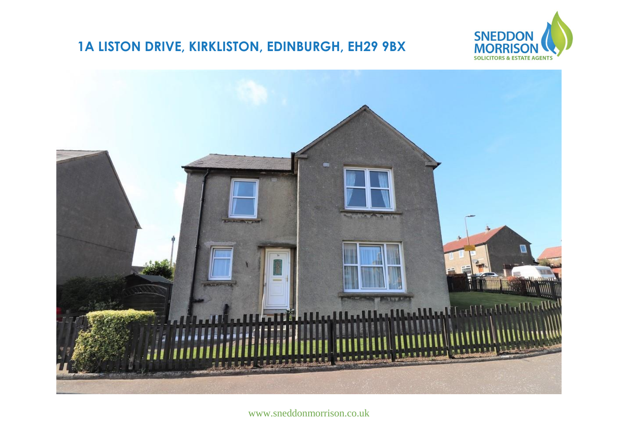## **1A LISTON DRIVE, KIRKLISTON, EDINBURGH, EH29 9BX**





www.sneddonmorrison.co.uk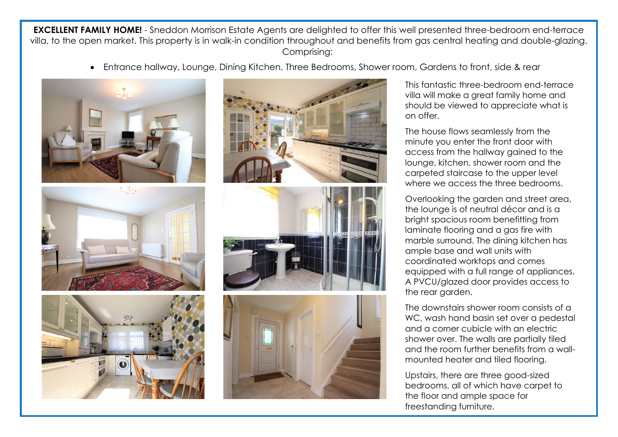**EXCELLENT FAMILY HOME!** - Sneddon Morrison Estate Agents are delighted to offer this well presented three-bedroom end-terrace villa, to the open market. This property is in walk-in condition throughout and benefits from gas central heating and double-glazing. Comprising:

Entrance hallway, Lounge, Dining Kitchen, Three Bedrooms, Shower room, Gardens to front, side & rear









This fantastic three-bedroom end-terrace villa will make a great family home and should be viewed to appreciate what is on offer.

The house flows seamlessly from the minute you enter the front door with access from the hallway gained to the lounge, kitchen, shower room and the carpeted staircase to the upper level where we access the three bedrooms. J

Overlooking the garden and street area, the lounge is of neutral décor and is a bright spacious room benefitting from laminate flooring and a gas fire with marble surround. The dining kitchen has ample base and wall units with coordinated worktops and comes equipped with a full range of appliances. A PVCU/glazed door provides access to the rear garden.

The downstairs shower room consists of a WC, wash hand basin set over a pedestal and a corner cubicle with an electric shower over. The walls are partially tiled and the room further benefits from a wallmounted heater and tiled flooring.

Upstairs, there are three good-sized bedrooms, all of which have carpet to the floor and ample space for freestanding furniture.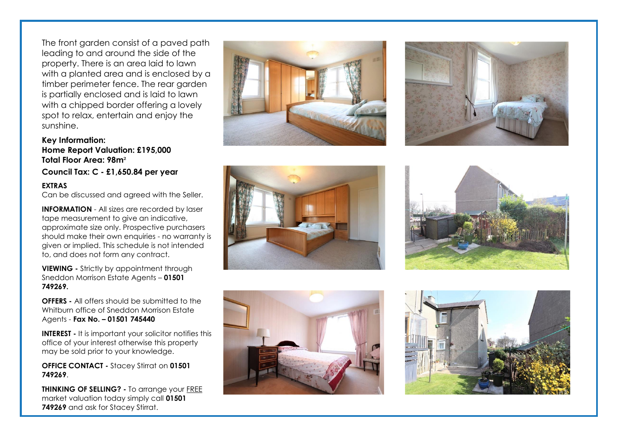The front garden consist of a paved path leading to and around the side of the property. There is an area laid to lawn with a planted area and is enclosed by a timber perimeter fence. The rear garden is partially enclosed and is laid to lawn with a chipped border offering a lovely spot to relax, entertain and enjoy the sunshine.

## **Key Information: Home Report Valuation: £195,000 Total Floor Area: 98m**

**Council Tax: C - £1,650.84 per year**

## **EXTRAS**

Can be discussed and agreed with the Seller.

**INFORMATION** - All sizes are recorded by laser tape measurement to give an indicative, approximate size only. Prospective purchasers should make their own enquiries - no warranty is given or implied. This schedule is not intended to, and does not form any contract.

**VIEWING -** Strictly by appointment through Sneddon Morrison Estate Agents – **01501 749269.** 

**OFFERS -** All offers should be submitted to the Whitburn office of Sneddon Morrison Estate Agents - **Fax No. – 01501 745440** 

**INTEREST -** It is important your solicitor notifies this office of your interest otherwise this property may be sold prior to your knowledge.

**OFFICE CONTACT -** Stacey Stirrat on **01501 749269**.

**THINKING OF SELLING?** - To arrange your **FREE** market valuation today simply call **01501 749269** and ask for Stacey Stirrat.